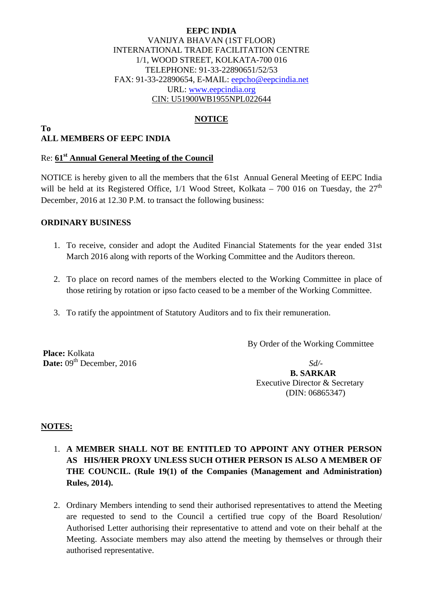### **EEPC INDIA**  VANIJYA BHAVAN (1ST FLOOR) INTERNATIONAL TRADE FACILITATION CENTRE 1/1, WOOD STREET, KOLKATA-700 016 TELEPHONE: 91-33-22890651/52/53 FAX: 91-33-22890654, E-MAIL: eepcho@eepcindia.net URL: www.eepcindia.org CIN: U51900WB1955NPL022644

# **NOTICE**

#### **To ALL MEMBERS OF EEPC INDIA**

# Re: **61st Annual General Meeting of the Council**

NOTICE is hereby given to all the members that the 61st Annual General Meeting of EEPC India will be held at its Registered Office,  $1/1$  Wood Street, Kolkata – 700 016 on Tuesday, the  $27<sup>th</sup>$ December, 2016 at 12.30 P.M. to transact the following business:

### **ORDINARY BUSINESS**

- 1. To receive, consider and adopt the Audited Financial Statements for the year ended 31st March 2016 along with reports of the Working Committee and the Auditors thereon.
- 2. To place on record names of the members elected to the Working Committee in place of those retiring by rotation or ipso facto ceased to be a member of the Working Committee.
- 3. To ratify the appointment of Statutory Auditors and to fix their remuneration.

By Order of the Working Committee

 **Place:** Kolkata **Date:**  $09^{\text{th}}$  December, 2016 *Sd/-*

 **B. SARKAR**  Executive Director & Secretary (DIN: 06865347)

### **NOTES:**

- 1. **A MEMBER SHALL NOT BE ENTITLED TO APPOINT ANY OTHER PERSON AS HIS/HER PROXY UNLESS SUCH OTHER PERSON IS ALSO A MEMBER OF THE COUNCIL. (Rule 19(1) of the Companies (Management and Administration) Rules, 2014).**
- 2. Ordinary Members intending to send their authorised representatives to attend the Meeting are requested to send to the Council a certified true copy of the Board Resolution/ Authorised Letter authorising their representative to attend and vote on their behalf at the Meeting. Associate members may also attend the meeting by themselves or through their authorised representative.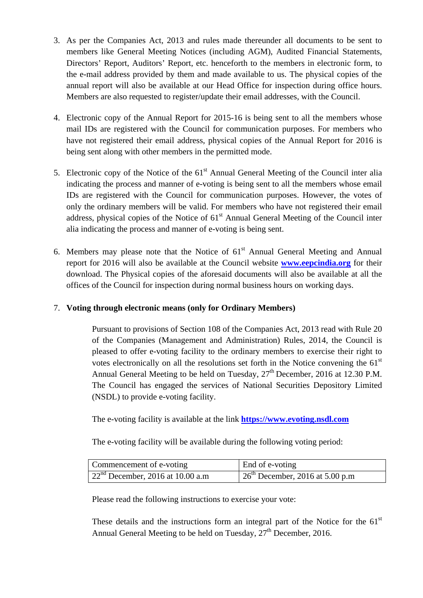- 3. As per the Companies Act, 2013 and rules made thereunder all documents to be sent to members like General Meeting Notices (including AGM), Audited Financial Statements, Directors' Report, Auditors' Report, etc. henceforth to the members in electronic form, to the e-mail address provided by them and made available to us. The physical copies of the annual report will also be available at our Head Office for inspection during office hours. Members are also requested to register/update their email addresses, with the Council.
- 4. Electronic copy of the Annual Report for 2015-16 is being sent to all the members whose mail IDs are registered with the Council for communication purposes. For members who have not registered their email address, physical copies of the Annual Report for 2016 is being sent along with other members in the permitted mode.
- 5. Electronic copy of the Notice of the  $61<sup>st</sup>$  Annual General Meeting of the Council inter alia indicating the process and manner of e-voting is being sent to all the members whose email IDs are registered with the Council for communication purposes. However, the votes of only the ordinary members will be valid. For members who have not registered their email address, physical copies of the Notice of  $61<sup>st</sup>$  Annual General Meeting of the Council inter alia indicating the process and manner of e-voting is being sent.
- 6. Members may please note that the Notice of  $61<sup>st</sup>$  Annual General Meeting and Annual report for 2016 will also be available at the Council website **www.eepcindia.org** for their download. The Physical copies of the aforesaid documents will also be available at all the offices of the Council for inspection during normal business hours on working days.

# 7. **Voting through electronic means (only for Ordinary Members)**

Pursuant to provisions of Section 108 of the Companies Act, 2013 read with Rule 20 of the Companies (Management and Administration) Rules, 2014, the Council is pleased to offer e-voting facility to the ordinary members to exercise their right to votes electronically on all the resolutions set forth in the Notice convening the  $61<sup>st</sup>$ Annual General Meeting to be held on Tuesday,  $27<sup>th</sup>$  December, 2016 at 12.30 P.M. The Council has engaged the services of National Securities Depository Limited (NSDL) to provide e-voting facility.

The e-voting facility is available at the link **https://www.evoting.nsdl.com**

The e-voting facility will be available during the following voting period:

| Commencement of e-voting           | End of e-voting                   |
|------------------------------------|-----------------------------------|
| $22nd$ December, 2016 at 10.00 a.m | $26th$ December, 2016 at 5.00 p.m |

Please read the following instructions to exercise your vote:

These details and the instructions form an integral part of the Notice for the  $61<sup>st</sup>$ Annual General Meeting to be held on Tuesday, 27<sup>th</sup> December, 2016.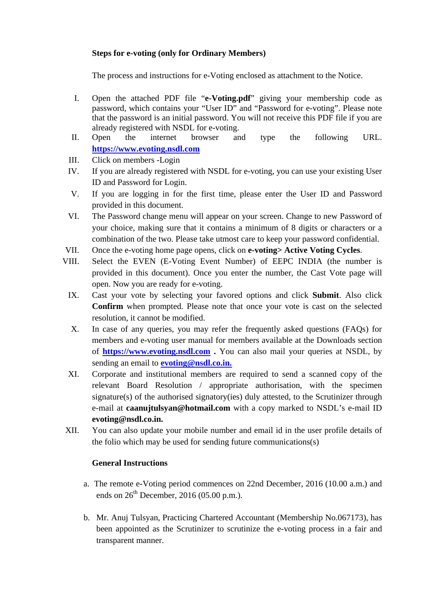# **Steps for e-voting (only for Ordinary Members)**

The process and instructions for e-Voting enclosed as attachment to the Notice.

- I. Open the attached PDF file "**e-Voting.pdf**" giving your membership code as password, which contains your "User ID" and "Password for e-voting". Please note that the password is an initial password. You will not receive this PDF file if you are already registered with NSDL for e-voting.
- II. Open the internet browser and type the following URL. **https://www.evoting.nsdl.com**
- III. Click on members -Login
- IV. If you are already registered with NSDL for e-voting, you can use your existing User ID and Password for Login.
- V. If you are logging in for the first time, please enter the User ID and Password provided in this document.
- VI. The Password change menu will appear on your screen. Change to new Password of your choice, making sure that it contains a minimum of 8 digits or characters or a combination of the two. Please take utmost care to keep your password confidential.
- VII. Once the e-voting home page opens, click on **e-voting> Active Voting Cycles**.
- VIII. Select the EVEN (E-Voting Event Number) of EEPC INDIA (the number is provided in this document). Once you enter the number, the Cast Vote page will open. Now you are ready for e-voting.
	- IX. Cast your vote by selecting your favored options and click **Submit**. Also click **Confirm** when prompted. Please note that once your vote is cast on the selected resolution, it cannot be modified.
	- X. In case of any queries, you may refer the frequently asked questions (FAQs) for members and e-voting user manual for members available at the Downloads section of **https://www.evoting.nsdl.com .** You can also mail your queries at NSDL, by sending an email to **evoting@nsdl.co.in.**
	- XI. Corporate and institutional members are required to send a scanned copy of the relevant Board Resolution / appropriate authorisation, with the specimen signature(s) of the authorised signatory(ies) duly attested, to the Scrutinizer through e-mail at **caanujtulsyan@hotmail.com** with a copy marked to NSDL's e-mail ID **evoting@nsdl.co.in.**
- XII. You can also update your mobile number and email id in the user profile details of the folio which may be used for sending future communications(s)

# **General Instructions**

- a. The remote e-Voting period commences on 22nd December, 2016 (10.00 a.m.) and ends on  $26<sup>th</sup>$  December,  $2016$  (05.00 p.m.).
- b. Mr. Anuj Tulsyan, Practicing Chartered Accountant (Membership No.067173), has been appointed as the Scrutinizer to scrutinize the e-voting process in a fair and transparent manner.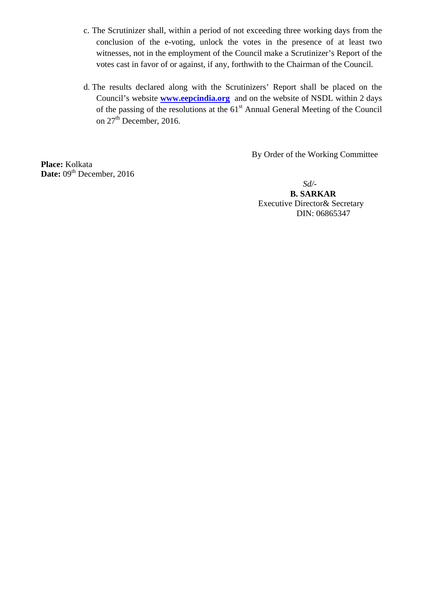- c. The Scrutinizer shall, within a period of not exceeding three working days from the conclusion of the e-voting, unlock the votes in the presence of at least two witnesses, not in the employment of the Council make a Scrutinizer's Report of the votes cast in favor of or against, if any, forthwith to the Chairman of the Council.
- d. The results declared along with the Scrutinizers' Report shall be placed on the Council's website **www.eepcindia.org** and on the website of NSDL within 2 days of the passing of the resolutions at the  $61<sup>st</sup>$  Annual General Meeting of the Council on  $27<sup>th</sup>$  December, 2016.

**Place:** Kolkata Date: 09<sup>th</sup> December, 2016 By Order of the Working Committee

 *Sd/-* **B. SARKAR**  Executive Director& Secretary DIN: 06865347